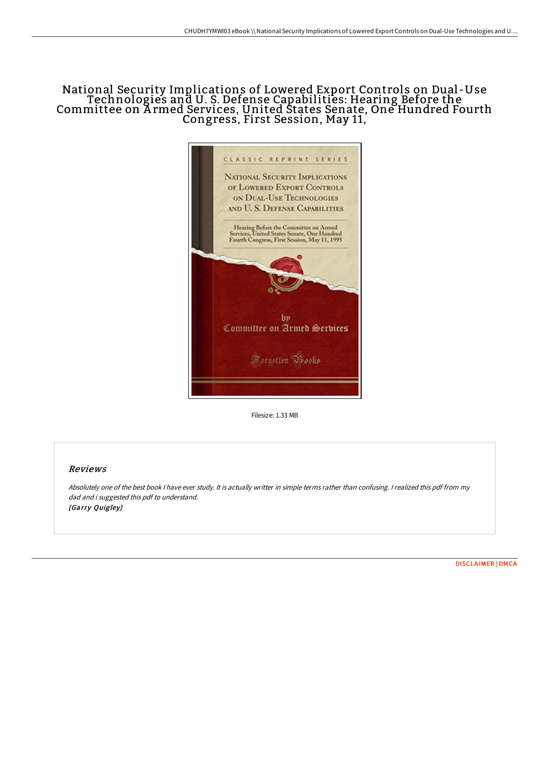## National Security Implications of Lowered Export Controls on Dual -Use Technologies and U. S. Defense Capabilities: Hearing Before the Committee on A rmed Services, United States Senate, One Hundred Fourth Congress, First Session, May 11,



Filesize: 1.33 MB

### Reviews

Absolutely one of the best book I have ever study. It is actually writter in simple terms rather than confusing. I realized this pdf from my dad and i suggested this pdf to understand. (Garry Quigley)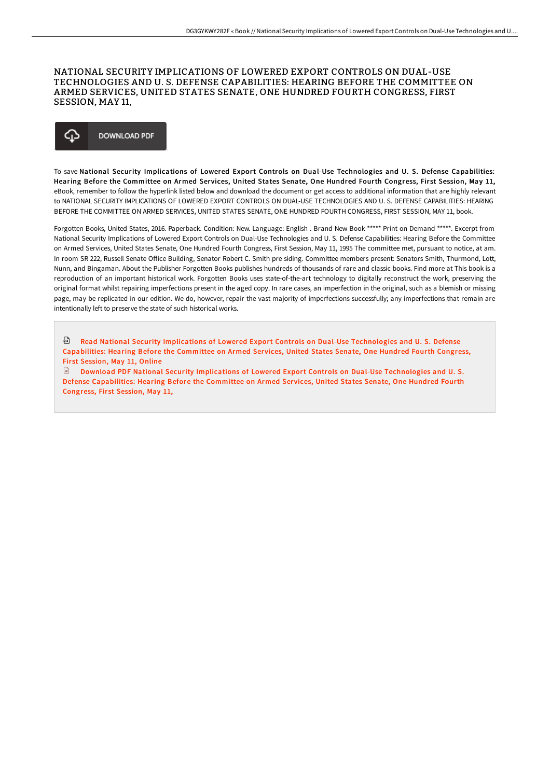#### NATIONAL SECURITY IMPLICATIONS OF LOWERED EXPORT CONTROLS ON DUAL-USE TECHNOLOGIES AND U. S. DEFENSE CAPABILITIES: HEARING BEFORE THE COMMITTEE ON ARMED SERVICES, UNITED STATES SENATE, ONE HUNDRED FOURTH CONGRESS, FIRST SESSION, MAY 11,



To save National Security Implications of Lowered Export Controls on Dual-Use Technologies and U. S. Defense Capabilities: Hearing Before the Committee on Armed Services, United States Senate, One Hundred Fourth Congress, First Session, May 11, eBook, remember to follow the hyperlink listed below and download the document or get access to additional information that are highly relevant to NATIONAL SECURITY IMPLICATIONS OF LOWERED EXPORT CONTROLS ON DUAL-USE TECHNOLOGIES AND U. S. DEFENSE CAPABILITIES: HEARING BEFORE THE COMMITTEE ON ARMED SERVICES, UNITED STATES SENATE, ONE HUNDRED FOURTH CONGRESS, FIRST SESSION, MAY 11, book.

Forgotten Books, United States, 2016. Paperback. Condition: New. Language: English . Brand New Book \*\*\*\*\* Print on Demand \*\*\*\*\*. Excerpt from National Security Implications of Lowered Export Controls on Dual-Use Technologies and U. S. Defense Capabilities: Hearing Before the Committee on Armed Services, United States Senate, One Hundred Fourth Congress, First Session, May 11, 1995 The committee met, pursuant to notice, at am. In room SR 222, Russell Senate OFice Building, Senator Robert C. Smith pre siding. Committee members present: Senators Smith, Thurmond, Lott, Nunn, and Bingaman. About the Publisher Forgotten Books publishes hundreds of thousands of rare and classic books. Find more at This book is a reproduction of an important historical work. Forgotten Books uses state-of-the-art technology to digitally reconstruct the work, preserving the original format whilst repairing imperfections present in the aged copy. In rare cases, an imperfection in the original, such as a blemish or missing page, may be replicated in our edition. We do, however, repair the vast majority of imperfections successfully; any imperfections that remain are intentionally left to preserve the state of such historical works.

ଈ Read National Security Implications of Lowered Export Controls on Dual-Use [Technologies](http://techno-pub.tech/national-security-implications-of-lowered-export.html) and U. S. Defense Capabilities: Hearing Before the Committee on Armed Services, United States Senate, One Hundred Fourth Congress, Fir st Session, May 11, Online

 $\mathbb{P}$ Download PDF National Security Implications of Lowered Export Controls on Dual-Use [Technologies](http://techno-pub.tech/national-security-implications-of-lowered-export.html) and U. S. Defense Capabilities: Hearing Before the Committee on Armed Services, United States Senate, One Hundred Fourth Congress, First Session, May 11,